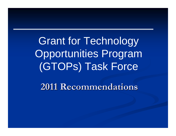Grant for Technology Opportunities Program (GTOPs) Task Force

**2011 Recommendations 2011 Recommendations**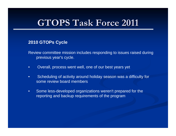#### **2010 GTOPs Cycle**

- Review committee mission includes responding to issues raised during previous year's cycle.
- $\bullet$ Overall, process went well, one of our best years yet
- $\bullet$  Scheduling of activity around holiday season was a difficulty for some review board members
- $\bullet$  Some less-developed organizations weren't prepared for the reporting and backup requirements of the program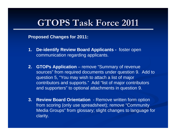**Proposed Changes for 2011:**

- **1. De-identify Review Board Applicants -** foster open communication regarding applicants.
- **2. GTOPs Application** remove "Summary of revenue sources" from required documents under question 9. Add to question 5, "You may wish to attach a list of major contributors and supports." Add "list of major contributors and supporters" to optional attachments in question 9.
- **3. Review Board Orientation**  Remove written form option from scoring (only use spreadsheet); remove "Community Media Groups" from glossary; slight changes to language for clarity.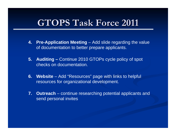- **4. Pre-Application Meeting** Add slide regarding the value of documentation to better prepare applicants.
- **5. Auditing –** Continue 2010 GTOPs cycle policy of spot checks on documentation.
- **6. Website** Add "Resources" page with links to helpful resources for organizational development.
- **7. Outreach** continue researching potential applicants and send personal invites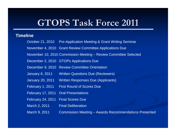#### **Timeline**

- October 21, 2010 Pre-Application Meeting & Grant Writing Seminar
- November 4, 2010 Grant Review Committee Applications Due
- November 10, 2010 Commission Meeting Review Committee Selected
- December 2, 2010 GTOPs Applications Due
- December 9, 2010 Review Committee Orientation
- January 6, 2011 Written Questions Due (Reviewers)
- January 20, 2011 Written Responses Due (Applicants)
- February 1, 2011 First Round of Scores Due
- February 17, 2011 Oral Presentations
- February 24, 2011 Final Scores Due
- March 2, 2011 Final Deliberation
- March 9, 2011 Commission Meeting Awards Recommendations Presented